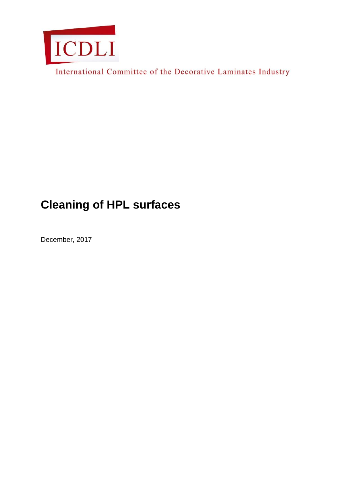

International Committee of the Decorative Laminates Industry

# **Cleaning of HPL surfaces**

December, 2017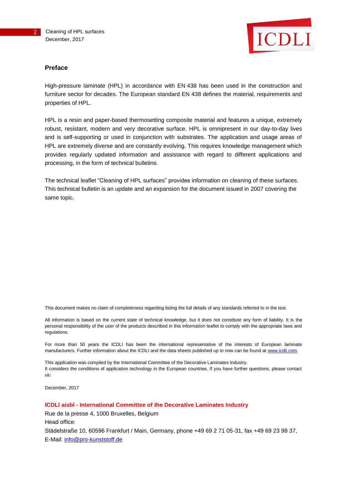

#### **Preface**

High-pressure laminate (HPL) in accordance with EN 438 has been used in the construction and furniture sector for decades. The European standard EN 438 defines the material, requirements and properties of HPL.

HPL is a resin and paper-based thermosetting composite material and features a unique, extremely robust, resistant, modern and very decorative surface. HPL is omnipresent in our day-to-day lives and is self-supporting or used in conjunction with substrates. The application and usage areas of HPL are extremely diverse and are constantly evolving. This requires knowledge management which provides regularly updated information and assistance with regard to different applications and processing, in the form of technical bulletins.

The technical leaflet "Cleaning of HPL surfaces" provides information on cleaning of these surfaces. This technical bulletin is an update and an expansion for the document issued in 2007 covering the same topic.

This document makes no claim of completeness regarding listing the full details of any standards referred to in the text.

All information is based on the current state of technical knowledge, but it does not constitute any form of liability. It is the personal responsibility of the user of the products described in this information leaflet to comply with the appropriate laws and regulations.

For more than 50 years the ICDLI has been the international representative of the interests of European laminate manufacturers. Further information about the ICDLI and the data sheets published up to now can be found at [www.icdli.com.](http://www.icdli.com/)

This application was compiled by the International Committee of the Decorative Laminates Industry. It considers the conditions of application technology in the European countries. If you have further questions, please contact us:

December, 2017

#### **ICDLI aisbl - International Committee of the Decorative Laminates Industry**

Rue de la presse 4, 1000 Bruxelles, Belgium Head office: Städelstraße 10, 60596 Frankfurt / Main, Germany, phone +49 69 2 71 05-31, fax +49 69 23 98 37, E-Mail: [info@pro-kunststoff.de](mailto:info@pro-kunststoff.de)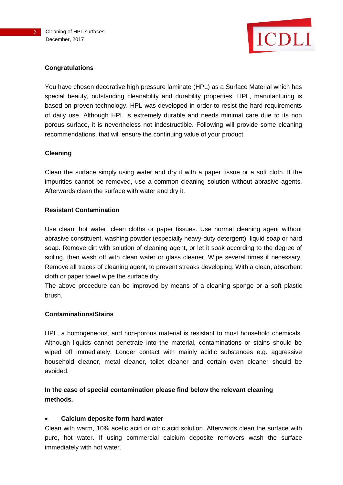

# **Congratulations**

You have chosen decorative high pressure laminate (HPL) as a Surface Material which has special beauty, outstanding cleanability and durability properties. HPL, manufacturing is based on proven technology. HPL was developed in order to resist the hard requirements of daily use. Although HPL is extremely durable and needs minimal care due to its non porous surface, it is nevertheless not indestructible. Following will provide some cleaning recommendations, that will ensure the continuing value of your product.

# **Cleaning**

Clean the surface simply using water and dry it with a paper tissue or a soft cloth. If the impurities cannot be removed, use a common cleaning solution without abrasive agents. Afterwards clean the surface with water and dry it.

#### **Resistant Contamination**

Use clean, hot water, clean cloths or paper tissues. Use normal cleaning agent without abrasive constituent, washing powder (especially heavy-duty detergent), liquid soap or hard soap. Remove dirt with solution of cleaning agent, or let it soak according to the degree of soiling, then wash off with clean water or glass cleaner. Wipe several times if necessary. Remove all traces of cleaning agent, to prevent streaks developing. With a clean, absorbent cloth or paper towel wipe the surface dry.

The above procedure can be improved by means of a cleaning sponge or a soft plastic brush.

# **Contaminations/Stains**

HPL, a homogeneous, and non-porous material is resistant to most household chemicals. Although liquids cannot penetrate into the material, contaminations or stains should be wiped off immediately. Longer contact with mainly acidic substances e.g. aggressive household cleaner, metal cleaner, toilet cleaner and certain oven cleaner should be avoided.

**In the case of special contamination please find below the relevant cleaning methods.**

# **Calcium deposite form hard water**

Clean with warm, 10% acetic acid or citric acid solution. Afterwards clean the surface with pure, hot water. If using commercial calcium deposite removers wash the surface immediately with hot water.